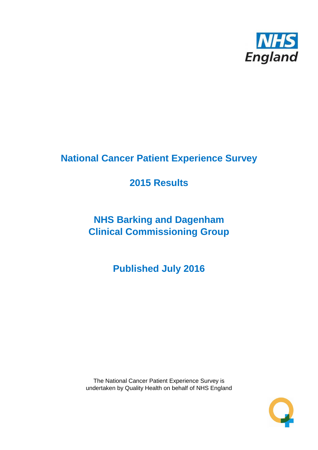

# **National Cancer Patient Experience Survey**

# **2015 Results**

# **NHS Barking and Dagenham Clinical Commissioning Group**

**Published July 2016**

The National Cancer Patient Experience Survey is undertaken by Quality Health on behalf of NHS England

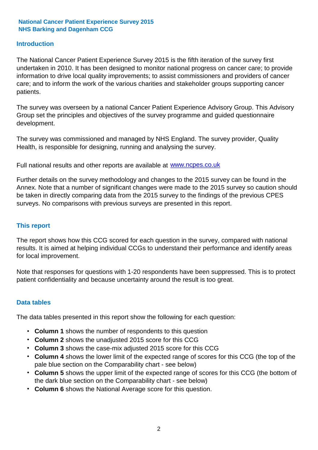#### **Introduction**

The National Cancer Patient Experience Survey 2015 is the fifth iteration of the survey first undertaken in 2010. It has been designed to monitor national progress on cancer care; to provide information to drive local quality improvements; to assist commissioners and providers of cancer care; and to inform the work of the various charities and stakeholder groups supporting cancer patients.

The survey was overseen by a national Cancer Patient Experience Advisory Group. This Advisory Group set the principles and objectives of the survey programme and guided questionnaire development.

The survey was commissioned and managed by NHS England. The survey provider, Quality Health, is responsible for designing, running and analysing the survey.

Full national results and other reports are available at www.ncpes.co.uk

Further details on the survey methodology and changes to the 2015 survey can be found in the Annex. Note that a number of significant changes were made to the 2015 survey so caution should be taken in directly comparing data from the 2015 survey to the findings of the previous CPES surveys. No comparisons with previous surveys are presented in this report.

#### **This report**

The report shows how this CCG scored for each question in the survey, compared with national results. It is aimed at helping individual CCGs to understand their performance and identify areas for local improvement.

Note that responses for questions with 1-20 respondents have been suppressed. This is to protect patient confidentiality and because uncertainty around the result is too great.

#### **Data tables**

The data tables presented in this report show the following for each question:

- **Column 1** shows the number of respondents to this question
- **Column 2** shows the unadjusted 2015 score for this CCG
- **Column 3** shows the case-mix adjusted 2015 score for this CCG
- **Column 4** shows the lower limit of the expected range of scores for this CCG (the top of the pale blue section on the Comparability chart - see below)
- **Column 5** shows the upper limit of the expected range of scores for this CCG (the bottom of the dark blue section on the Comparability chart - see below)
- **Column 6** shows the National Average score for this question.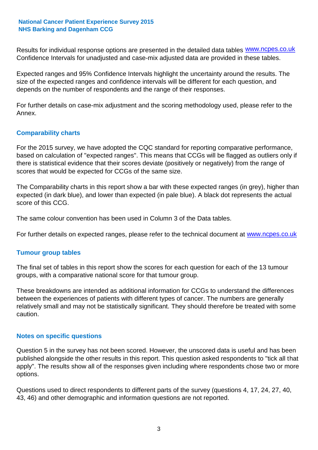Results for individual response options are presented in the detailed data tables **WWW.ncpes.co.uk** Confidence Intervals for unadjusted and case-mix adjusted data are provided in these tables.

Expected ranges and 95% Confidence Intervals highlight the uncertainty around the results. The size of the expected ranges and confidence intervals will be different for each question, and depends on the number of respondents and the range of their responses.

For further details on case-mix adjustment and the scoring methodology used, please refer to the Annex.

#### **Comparability charts**

For the 2015 survey, we have adopted the CQC standard for reporting comparative performance, based on calculation of "expected ranges". This means that CCGs will be flagged as outliers only if there is statistical evidence that their scores deviate (positively or negatively) from the range of scores that would be expected for CCGs of the same size.

The Comparability charts in this report show a bar with these expected ranges (in grey), higher than expected (in dark blue), and lower than expected (in pale blue). A black dot represents the actual score of this CCG.

The same colour convention has been used in Column 3 of the Data tables.

For further details on expected ranges, please refer to the technical document at **www.ncpes.co.uk** 

#### **Tumour group tables**

The final set of tables in this report show the scores for each question for each of the 13 tumour groups, with a comparative national score for that tumour group.

These breakdowns are intended as additional information for CCGs to understand the differences between the experiences of patients with different types of cancer. The numbers are generally relatively small and may not be statistically significant. They should therefore be treated with some caution.

#### **Notes on specific questions**

Question 5 in the survey has not been scored. However, the unscored data is useful and has been published alongside the other results in this report. This question asked respondents to "tick all that apply". The results show all of the responses given including where respondents chose two or more options.

Questions used to direct respondents to different parts of the survey (questions 4, 17, 24, 27, 40, 43, 46) and other demographic and information questions are not reported.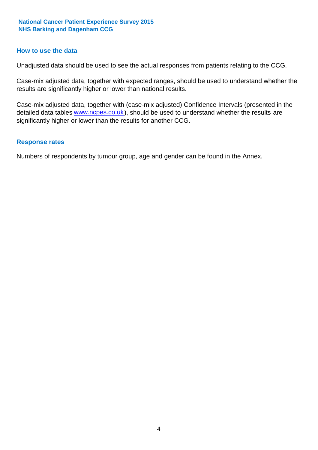#### **How to use the data**

Unadjusted data should be used to see the actual responses from patients relating to the CCG.

Case-mix adjusted data, together with expected ranges, should be used to understand whether the results are significantly higher or lower than national results.

Case-mix adjusted data, together with (case-mix adjusted) Confidence Intervals (presented in the detailed data tables **www.ncpes.co.uk**), should be used to understand whether the results are significantly higher or lower than the results for another CCG.

#### **Response rates**

Numbers of respondents by tumour group, age and gender can be found in the Annex.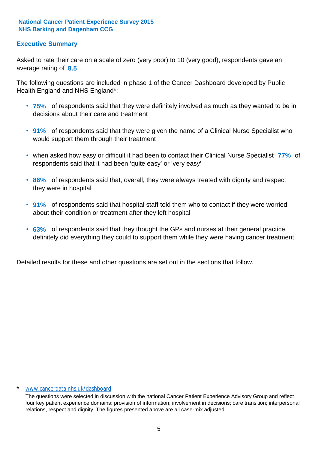#### **Executive Summary**

average rating of **8.5**. Asked to rate their care on a scale of zero (very poor) to 10 (very good), respondents gave an

The following questions are included in phase 1 of the Cancer Dashboard developed by Public Health England and NHS England\*:

- **75%** of respondents said that they were definitely involved as much as they wanted to be in decisions about their care and treatment
- **91%** of respondents said that they were given the name of a Clinical Nurse Specialist who would support them through their treatment
- when asked how easy or difficult it had been to contact their Clinical Nurse Specialist 77% of respondents said that it had been 'quite easy' or 'very easy'
- **86%** of respondents said that, overall, they were always treated with dignity and respect they were in hospital
- **91%** of respondents said that hospital staff told them who to contact if they were worried about their condition or treatment after they left hospital
- **63%** of respondents said that they thought the GPs and nurses at their general practice definitely did everything they could to support them while they were having cancer treatment.

Detailed results for these and other questions are set out in the sections that follow.

#### www.cancerdata.nhs.uk/dashboard

The questions were selected in discussion with the national Cancer Patient Experience Advisory Group and reflect four key patient experience domains: provision of information; involvement in decisions; care transition; interpersonal relations, respect and dignity. The figures presented above are all case-mix adjusted.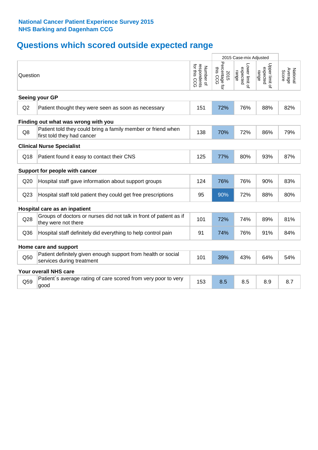# **Questions which scored outside expected range**

|          |                                                                                            |                                          | 2015 Case-mix Adjusted             |                                     |                                     |                              |
|----------|--------------------------------------------------------------------------------------------|------------------------------------------|------------------------------------|-------------------------------------|-------------------------------------|------------------------------|
| Question |                                                                                            | respondents<br>for this CCG<br>Number of | Percentage for<br>this CCG<br>2015 | Lower limit of<br>expected<br>range | Upper limit of<br>expected<br>range | Average<br>Score<br>National |
|          | Seeing your GP                                                                             |                                          |                                    |                                     |                                     |                              |
| Q2       | Patient thought they were seen as soon as necessary                                        | 151                                      | 72%                                | 76%                                 | 88%                                 | 82%                          |
|          | Finding out what was wrong with you                                                        |                                          |                                    |                                     |                                     |                              |
| Q8       | Patient told they could bring a family member or friend when<br>first told they had cancer | 138                                      | 70%                                | 72%                                 | 86%                                 | 79%                          |
|          | <b>Clinical Nurse Specialist</b>                                                           |                                          |                                    |                                     |                                     |                              |
| Q18      | Patient found it easy to contact their CNS                                                 | 125                                      | 77%                                | 80%                                 | 93%                                 | 87%                          |
|          | Support for people with cancer                                                             |                                          |                                    |                                     |                                     |                              |
| Q20      | Hospital staff gave information about support groups                                       | 124                                      | 76%                                | 76%                                 | 90%                                 | 83%                          |
| Q23      | Hospital staff told patient they could get free prescriptions                              | 95                                       | 90%                                | 72%                                 | 88%                                 | 80%                          |
|          | Hospital care as an inpatient                                                              |                                          |                                    |                                     |                                     |                              |
| Q28      | Groups of doctors or nurses did not talk in front of patient as if<br>they were not there  | 101                                      | 72%                                | 74%                                 | 89%                                 | 81%                          |
| Q36      | Hospital staff definitely did everything to help control pain                              | 91                                       | 74%                                | 76%                                 | 91%                                 | 84%                          |
|          | Home care and support                                                                      |                                          |                                    |                                     |                                     |                              |
| Q50      | Patient definitely given enough support from health or social<br>services during treatment | 101                                      | 39%                                | 43%                                 | 64%                                 | 54%                          |
|          | <b>Your overall NHS care</b>                                                               |                                          |                                    |                                     |                                     |                              |
| Q59      | Patient's average rating of care scored from very poor to very<br>good                     | 153                                      | 8.5                                | 8.5                                 | 8.9                                 | 8.7                          |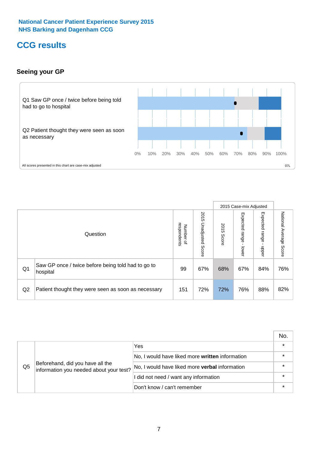## **CCG results**

#### **Seeing your GP**



|    |                                                                |                                         |                             |               | 2015 Case-mix Adjusted     |                            |                        |
|----|----------------------------------------------------------------|-----------------------------------------|-----------------------------|---------------|----------------------------|----------------------------|------------------------|
|    | Question                                                       | respondents<br>Number<br>$\overline{a}$ | 2015<br>Unadjusted<br>Score | 2015<br>Score | Expected<br>range<br>lower | Expected<br>range<br>nbber | National Average Score |
| Q1 | Saw GP once / twice before being told had to go to<br>hospital | 99                                      | 67%                         | 68%           | 67%                        | 84%                        | 76%                    |
| Q2 | Patient thought they were seen as soon as necessary            | 151                                     | 72%                         | 72%           | 76%                        | 88%                        | 82%                    |

|    |                                                                             |                                                 | No. |
|----|-----------------------------------------------------------------------------|-------------------------------------------------|-----|
|    |                                                                             | Yes                                             |     |
| Q5 | Beforehand, did you have all the<br>information you needed about your test? | No, I would have liked more written information |     |
|    |                                                                             | No, I would have liked more verbal information  |     |
|    |                                                                             | I did not need / want any information           |     |
|    |                                                                             | Don't know / can't remember                     |     |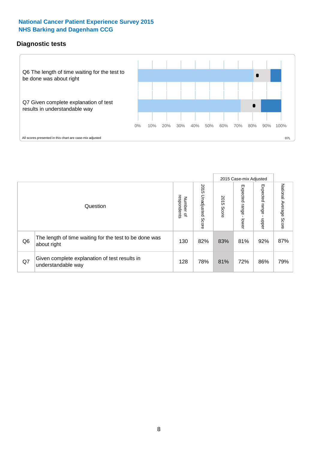#### **Diagnostic tests**



|                |                                                                       |                                       |                             |               | 2015 Case-mix Adjusted  |                         |                           |
|----------------|-----------------------------------------------------------------------|---------------------------------------|-----------------------------|---------------|-------------------------|-------------------------|---------------------------|
|                | Question                                                              | respondents<br>Number<br>$\mathbf{Q}$ | 2015<br>Unadjusted<br>Score | 2015<br>Score | Expected range<br>lower | Expected range<br>nbber | National Average<br>Score |
| Q <sub>6</sub> | The length of time waiting for the test to be done was<br>about right | 130                                   | 82%                         | 83%           | 81%                     | 92%                     | 87%                       |
| Q7             | Given complete explanation of test results in<br>understandable way   | 128                                   | 78%                         | 81%           | 72%                     | 86%                     | 79%                       |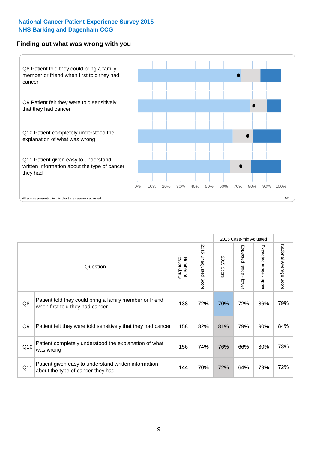#### **Finding out what was wrong with you**



|                |                                                                                            |                          |                       |                      | 2015 Case-mix Adjusted |                                         |                           |
|----------------|--------------------------------------------------------------------------------------------|--------------------------|-----------------------|----------------------|------------------------|-----------------------------------------|---------------------------|
|                | Question                                                                                   | respondents<br>Number of | 2015 Unadjusted Score | 2015<br><b>Score</b> | Expected range - lower | Expected range<br>$\mathbf{r}$<br>nbber | National Average<br>Score |
| Q8             | Patient told they could bring a family member or friend<br>when first told they had cancer | 138                      | 72%                   | 70%                  | 72%                    | 86%                                     | 79%                       |
| Q <sub>9</sub> | Patient felt they were told sensitively that they had cancer                               | 158                      | 82%                   | 81%                  | 79%                    | 90%                                     | 84%                       |
| Q10            | Patient completely understood the explanation of what<br>was wrong                         | 156                      | 74%                   | 76%                  | 66%                    | 80%                                     | 73%                       |
| Q11            | Patient given easy to understand written information<br>about the type of cancer they had  | 144                      | 70%                   | 72%                  | 64%                    | 79%                                     | 72%                       |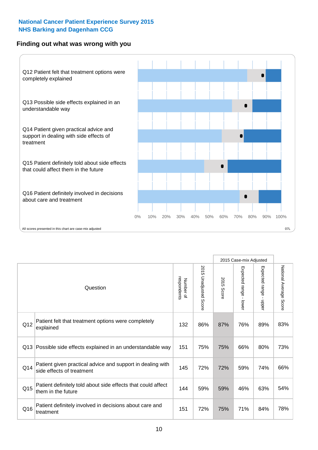#### **Finding out what was wrong with you**



|          |                                                                                         |                          |                          |               | 2015 Case-mix Adjusted                  |                        |                        |
|----------|-----------------------------------------------------------------------------------------|--------------------------|--------------------------|---------------|-----------------------------------------|------------------------|------------------------|
| Question |                                                                                         | Number of<br>respondents | 2015<br>Unadjusted Score | 2015<br>Score | Expected range<br>$\mathbf{I}$<br>lower | Expected range - upper | National Average Score |
| Q12      | Patient felt that treatment options were completely<br>explained                        | 132                      | 86%                      | 87%           | 76%                                     | 89%                    | 83%                    |
| Q13      | Possible side effects explained in an understandable way                                | 151                      | 75%                      | 75%           | 66%                                     | 80%                    | 73%                    |
| Q14      | Patient given practical advice and support in dealing with<br>side effects of treatment | 145                      | 72%                      | 72%           | 59%                                     | 74%                    | 66%                    |
| Q15      | Patient definitely told about side effects that could affect<br>them in the future      | 144                      | 59%                      | 59%           | 46%                                     | 63%                    | 54%                    |
| Q16      | Patient definitely involved in decisions about care and<br>treatment                    | 151                      | 72%                      | 75%           | 71%                                     | 84%                    | 78%                    |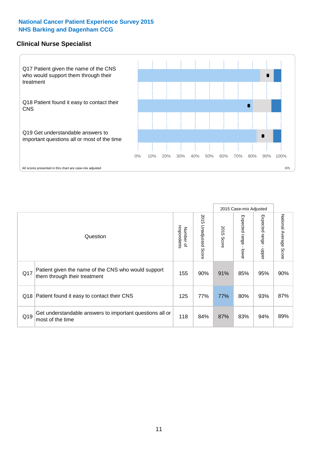#### **Clinical Nurse Specialist**



|     |                                                                                     |                          |                       |               | 2015 Case-mix Adjusted  |                              |                                  |
|-----|-------------------------------------------------------------------------------------|--------------------------|-----------------------|---------------|-------------------------|------------------------------|----------------------------------|
|     | Question                                                                            | respondents<br>Number of | 2015 Unadjusted Score | 2015<br>Score | Expected range<br>lower | Expected<br>l range<br>nbber | National Average<br><b>Score</b> |
| Q17 | Patient given the name of the CNS who would support<br>them through their treatment | 155                      | 90%                   | 91%           | 85%                     | 95%                          | 90%                              |
|     | Q18 Patient found it easy to contact their CNS                                      | 125                      | 77%                   | 77%           | 80%                     | 93%                          | 87%                              |
| Q19 | Get understandable answers to important questions all or<br>most of the time        | 118                      | 84%                   | 87%           | 83%                     | 94%                          | 89%                              |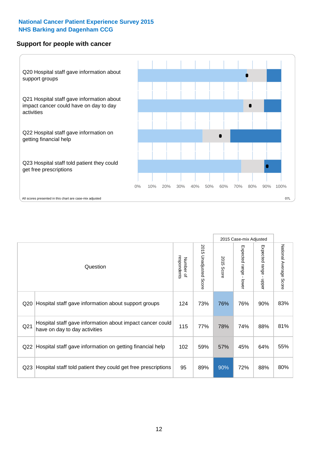#### **Support for people with cancer**



2015 Case-mix Adjusted 2015 Unadjusted S 2015 Unadjusted Score Number of<br>respondents 2015 Score respondents 2015 Score Number of Question

|                 | Question                                                                                   | respondents<br>Number of | 2015 Unadjusted Score | 2015<br>Score | Expected range<br>lower | Expected range<br>nbber | National Average<br>Score |
|-----------------|--------------------------------------------------------------------------------------------|--------------------------|-----------------------|---------------|-------------------------|-------------------------|---------------------------|
| Q20             | Hospital staff gave information about support groups                                       | 124                      | 73%                   | 76%           | 76%                     | 90%                     | 83%                       |
| Q <sub>21</sub> | Hospital staff gave information about impact cancer could<br>have on day to day activities | 115                      | 77%                   | 78%           | 74%                     | 88%                     | 81%                       |
| Q22             | Hospital staff gave information on getting financial help                                  | 102                      | 59%                   | 57%           | 45%                     | 64%                     | 55%                       |
| Q23             | Hospital staff told patient they could get free prescriptions                              | 95                       | 89%                   | 90%           | 72%                     | 88%                     | 80%                       |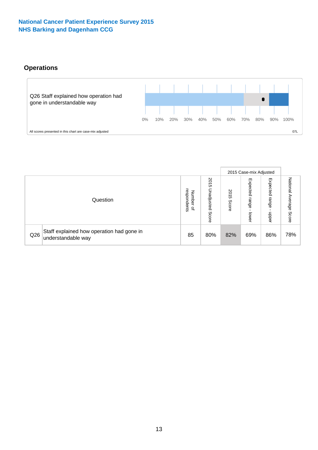#### **Operations**



|     |                                                                 |                                              |                             |                   | 2015 Case-mix Adjusted     |                            |                              |
|-----|-----------------------------------------------------------------|----------------------------------------------|-----------------------------|-------------------|----------------------------|----------------------------|------------------------------|
|     | Question                                                        | respondents<br>Number<br>$\overline{\sigma}$ | 2015<br>Unadjusted<br>Score | 201<br>c<br>Score | Expected<br>range<br>lower | Expected<br>range<br>doper | National<br>Average<br>Score |
| Q26 | Staff explained how operation had gone in<br>understandable way | 85                                           | 80%                         | 82%               | 69%                        | 86%                        | 78%                          |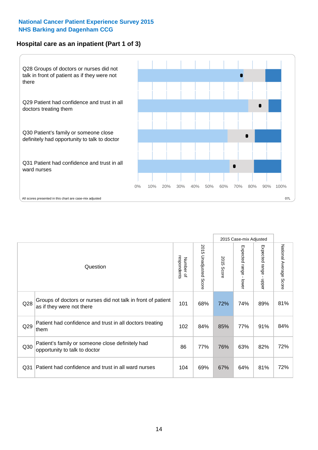#### **Hospital care as an inpatient (Part 1 of 3)**



All scores presented in this chart are case-mix adjusted  $07L$ 

|                 |                                                                                           |                          |                          |                      | 2015 Case-mix Adjusted                  |                           |                        |
|-----------------|-------------------------------------------------------------------------------------------|--------------------------|--------------------------|----------------------|-----------------------------------------|---------------------------|------------------------|
|                 | Question                                                                                  | respondents<br>Number of | 2015<br>Unadjusted Score | 2015<br><b>Score</b> | Expected range<br>$\mathbf{I}$<br>lower | Expected range<br>- nbber | National Average Score |
| Q28             | Groups of doctors or nurses did not talk in front of patient<br>as if they were not there | 101                      | 68%                      | 72%                  | 74%                                     | 89%                       | 81%                    |
| Q29             | Patient had confidence and trust in all doctors treating<br>them                          | 102                      | 84%                      | 85%                  | 77%                                     | 91%                       | 84%                    |
| Q30             | Patient's family or someone close definitely had<br>opportunity to talk to doctor         | 86                       | 77%                      | 76%                  | 63%                                     | 82%                       | 72%                    |
| Q <sub>31</sub> | Patient had confidence and trust in all ward nurses                                       | 104                      | 69%                      | 67%                  | 64%                                     | 81%                       | 72%                    |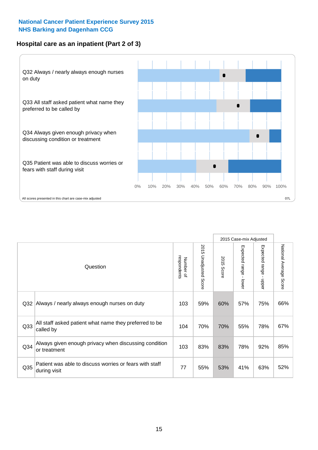#### **Hospital care as an inpatient (Part 2 of 3)**



2015 Case-mix Adjusted National Average Score 2015 Unadjusted Score Expected range - lower Expected range - upper 2015 Unadjusted Score Expected range - upper Expected range - lower Number of<br>respondents respondents 2015 Score 2015 Score Number of Question Q32 |Always / nearly always enough nurses on duty  $\qquad \qquad \mid 103 \mid 59\% \mid 60\% \mid 57\% \mid 75\% \mid 66\%$ Q33 104 70% 70% 55% 78% All staff asked patient what name they preferred to be called by 67% Q34 103 83% 83% 78% 92% Always given enough privacy when discussing condition or treatment 85% Patient was able to discuss worries or fears with staff during visit during visit  $\frac{32}{52}$  and  $\frac{32}{52}$  and  $\frac{32}{52}$  and  $\frac{32}{52}$  and  $\frac{32}{52}$  and  $\frac{32}{52}$  and  $\frac{32}{52}$  and  $\frac{32}{52}$  and  $\frac{32}{52}$  and  $\frac{32}{52}$  and  $\frac{32}{52}$  and  $\frac{32}{52}$  and  $\frac$ Q35 decision with the discussion of the control of the control of the control of the control of the control of the control of the control of the control of the control of the control of the control of the control of the co

National Average Score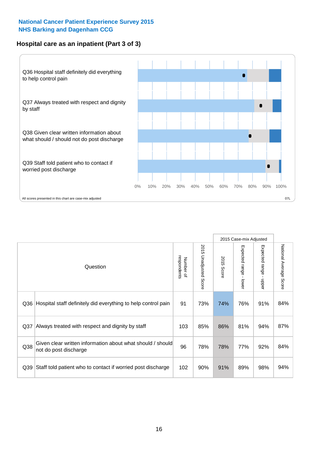#### **Hospital care as an inpatient (Part 3 of 3)**



|                 |                                                                                     |                          |                          |            | 2015 Case-mix Adjusted |                                           |                                  |
|-----------------|-------------------------------------------------------------------------------------|--------------------------|--------------------------|------------|------------------------|-------------------------------------------|----------------------------------|
|                 | Question                                                                            | respondents<br>Number of | 2015<br>Unadjusted Score | 2015 Score | Expected range - lower | Expected range<br>$\blacksquare$<br>nbber | National Average<br><b>Score</b> |
| Q36             | Hospital staff definitely did everything to help control pain                       | 91                       | 73%                      | 74%        | 76%                    | 91%                                       | 84%                              |
| Q <sub>37</sub> | Always treated with respect and dignity by staff                                    | 103                      | 85%                      | 86%        | 81%                    | 94%                                       | 87%                              |
| Q <sub>38</sub> | Given clear written information about what should / should<br>not do post discharge | 96                       | 78%                      | 78%        | 77%                    | 92%                                       | 84%                              |
| Q <sub>39</sub> | Staff told patient who to contact if worried post discharge                         | 102                      | 90%                      | 91%        | 89%                    | 98%                                       | 94%                              |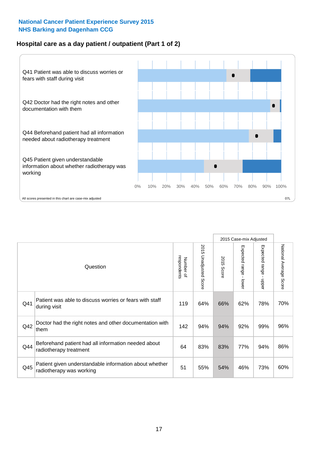#### **Hospital care as a day patient / outpatient (Part 1 of 2)**



|     |                                                                                    |                          |                                 |               | 2015 Case-mix Adjusted                  |                                         |                        |
|-----|------------------------------------------------------------------------------------|--------------------------|---------------------------------|---------------|-----------------------------------------|-----------------------------------------|------------------------|
|     | Question                                                                           | respondents<br>Number of | 2015<br><b>Unadjusted Score</b> | 2015<br>Score | Expected range<br>$\mathbf{I}$<br>lower | Expected range<br>$\mathbf{r}$<br>nbber | National Average Score |
| Q41 | Patient was able to discuss worries or fears with staff<br>during visit            | 119                      | 64%                             | 66%           | 62%                                     | 78%                                     | 70%                    |
| Q42 | Doctor had the right notes and other documentation with<br>them                    | 142                      | 94%                             | 94%           | 92%                                     | 99%                                     | 96%                    |
| Q44 | Beforehand patient had all information needed about<br>radiotherapy treatment      | 64                       | 83%                             | 83%           | 77%                                     | 94%                                     | 86%                    |
| Q45 | Patient given understandable information about whether<br>radiotherapy was working | 51                       | 55%                             | 54%           | 46%                                     | 73%                                     | 60%                    |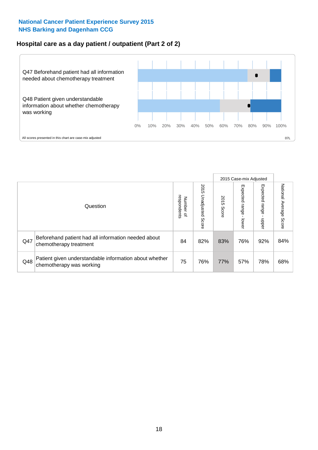#### **Hospital care as a day patient / outpatient (Part 2 of 2)**



|     |                                                                                    |                          |                             |               | 2015 Case-mix Adjusted       |                         |                           |
|-----|------------------------------------------------------------------------------------|--------------------------|-----------------------------|---------------|------------------------------|-------------------------|---------------------------|
|     | Question                                                                           | Number of<br>respondents | 2015<br>Unadjusted<br>Score | 2015<br>Score | Expected<br>I range<br>lower | Expected range<br>nbber | National Average<br>Score |
| Q47 | Beforehand patient had all information needed about<br>chemotherapy treatment      | 84                       | 82%                         | 83%           | 76%                          | 92%                     | 84%                       |
| Q48 | Patient given understandable information about whether<br>chemotherapy was working | 75                       | 76%                         | 77%           | 57%                          | 78%                     | 68%                       |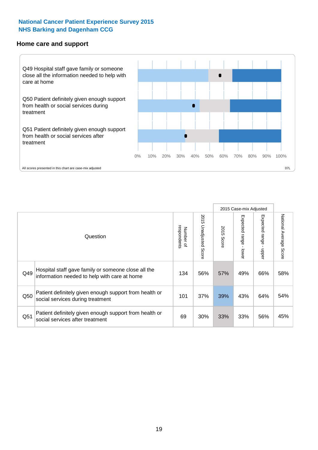#### **Home care and support**



2015 Case-mix Adjusted 2015 Unadjusted Score Expected range - upper National Average Score 2015 Unadjusted Score Expected range - lower National Average Score Expected range - lower Expected range - upper Number of<br>respondents respondents 2015 Score 2015 Score Number of Question Hospital staff gave family or someone close all the Q49 134 56% 57% 49% 66% information needed to help with care at home 58% Patient definitely given enough support from health or  $\frac{1050}{\sqrt{100}}$  social services during treatment  $\frac{101}{\sqrt{100}}$   $\frac{37\%}{\sqrt{100}}$   $\frac{39\%}{\sqrt{100}}$   $\frac{43\%}{\sqrt{100}}$  64%  $\frac{54\%}{\sqrt{100}}$ Patient definitely given enough support from health or  $\frac{1}{2}$  and the dominary given enough support nominealitier  $\frac{1}{2}$  69 30% 33% 33% 56% 45%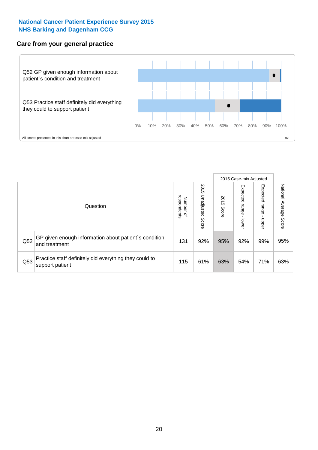#### **Care from your general practice**



|     |                                                                           |                                       |                             |               | 2015 Case-mix Adjusted      |                         |                           |
|-----|---------------------------------------------------------------------------|---------------------------------------|-----------------------------|---------------|-----------------------------|-------------------------|---------------------------|
|     | Question                                                                  | respondents<br>Number<br>$\mathbf{Q}$ | 2015<br>Unadjusted<br>Score | 2015<br>Score | Expected<br> range<br>lower | Expected range<br>doper | National Average<br>Score |
| Q52 | GP given enough information about patient's condition<br>and treatment    | 131                                   | 92%                         | 95%           | 92%                         | 99%                     | 95%                       |
| Q53 | Practice staff definitely did everything they could to<br>support patient | 115                                   | 61%                         | 63%           | 54%                         | 71%                     | 63%                       |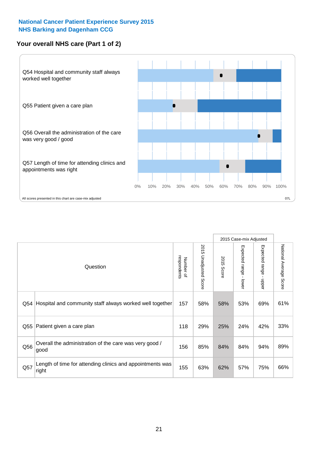#### **Your overall NHS care (Part 1 of 2)**



|     |                                                                    |                          |                                 |               | 2015 Case-mix Adjusted  |                                           |                        |
|-----|--------------------------------------------------------------------|--------------------------|---------------------------------|---------------|-------------------------|-------------------------------------------|------------------------|
|     | Question                                                           | respondents<br>Number of | 2015<br><b>Unadjusted Score</b> | 2015<br>Score | Expected range<br>lower | Expected range<br>$\blacksquare$<br>nbber | National Average Score |
| Q54 | Hospital and community staff always worked well together           | 157                      | 58%                             | 58%           | 53%                     | 69%                                       | 61%                    |
| Q55 | Patient given a care plan                                          | 118                      | 29%                             | 25%           | 24%                     | 42%                                       | 33%                    |
| Q56 | Overall the administration of the care was very good /<br>good     | 156                      | 85%                             | 84%           | 84%                     | 94%                                       | 89%                    |
| Q57 | Length of time for attending clinics and appointments was<br>right | 155                      | 63%                             | 62%           | 57%                     | 75%                                       | 66%                    |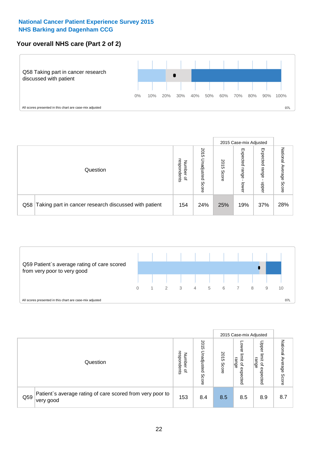#### **Your overall NHS care (Part 2 of 2)**



|     |                                                       |                                              |                             | 2015 Case-mix Adjusted |                            |                            |                        |
|-----|-------------------------------------------------------|----------------------------------------------|-----------------------------|------------------------|----------------------------|----------------------------|------------------------|
|     | Question                                              | respondents<br>Number<br>$\overline{\sigma}$ | 2015<br>Unadjusted<br>Score | 2015<br>Score          | Expected<br>range<br>lower | Expected<br>range<br>doper | National Average Score |
| Q58 | Taking part in cancer research discussed with patient | 154                                          | 24%                         | 25%                    | 19%                        | 37%                        | 28%                    |



|     |                                                                        |                                              |                             |               | 2015 Case-mix Adjusted                             |                                                       |                                     |
|-----|------------------------------------------------------------------------|----------------------------------------------|-----------------------------|---------------|----------------------------------------------------|-------------------------------------------------------|-------------------------------------|
|     | Question                                                               | respondents<br>Number<br>$\overline{\sigma}$ | 2015<br>Unadjusted<br>Score | 2015<br>Score | OWer<br>limit<br>range<br>$\mathbf{a}$<br>expected | Upper<br>limit<br>range<br>$\overline{a}$<br>expected | National<br>Average<br><b>Score</b> |
| Q59 | Patient's average rating of care scored from very poor to<br>very good | 153                                          | 8.4                         | 8.5           | 8.5                                                | 8.9                                                   | 8.7                                 |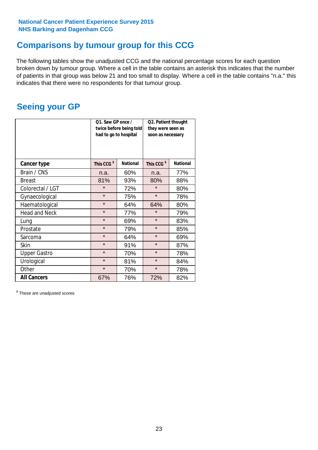### **Comparisons by tumour group for this CCG**

The following tables show the unadjusted CCG and the national percentage scores for each question broken down by tumour group. Where a cell in the table contains an asterisk this indicates that the number of patients in that group was below 21 and too small to display. Where a cell in the table contains "n.a." this indicates that there were no respondents for that tumour group.

### **Seeing your GP**

|                      | Q1. Saw GP once /<br>had to go to hospital | twice before being told | Q2. Patient thought<br>they were seen as<br>soon as necessary |                 |  |
|----------------------|--------------------------------------------|-------------------------|---------------------------------------------------------------|-----------------|--|
| <b>Cancer type</b>   | This CCG <sup>\$</sup>                     | <b>National</b>         | This CCG <sup>\$</sup>                                        | <b>National</b> |  |
| Brain / CNS          | n.a.                                       | 60%                     | n.a.                                                          | 77%             |  |
| <b>Breast</b>        | 81%                                        | 93%                     | 80%                                                           | 88%             |  |
| Colorectal / LGT     | $\star$                                    | 72%                     | $\star$                                                       | 80%             |  |
| Gynaecological       | $\star$                                    | 75%                     | $\star$                                                       | 78%             |  |
| Haematological       | $\star$                                    | 64%                     | 64%                                                           | 80%             |  |
| <b>Head and Neck</b> | $\star$                                    | 77%                     | $\star$                                                       | 79%             |  |
| Lung                 | $\star$                                    | 69%                     | $\star$                                                       | 83%             |  |
| Prostate             | $\star$                                    | 79%                     | $\star$                                                       | 85%             |  |
| Sarcoma              | $\star$                                    | 64%                     | $\star$                                                       | 69%             |  |
| Skin                 | $\star$                                    | 91%                     | $\star$                                                       | 87%             |  |
| <b>Upper Gastro</b>  | $\star$                                    | 70%                     | $\star$                                                       | 78%             |  |
| Urological           | $\star$                                    | 81%                     | $\star$                                                       | 84%             |  |
| Other                | $\star$                                    | 70%                     | $\star$                                                       | 78%             |  |
| <b>All Cancers</b>   | 67%                                        | 76%                     | 72%                                                           | 82%             |  |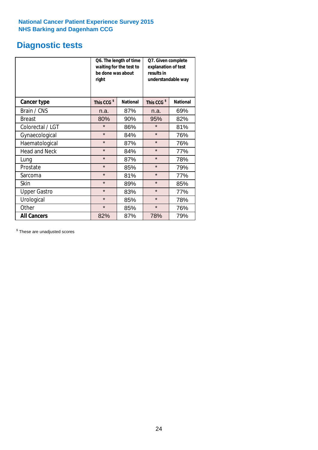## **Diagnostic tests**

|                      | be done was about<br>right | Q6. The length of time<br>waiting for the test to | Q7. Given complete<br>explanation of test<br>results in<br>understandable way |                 |  |
|----------------------|----------------------------|---------------------------------------------------|-------------------------------------------------------------------------------|-----------------|--|
| <b>Cancer type</b>   | This CCG <sup>\$</sup>     | <b>National</b>                                   | This CCG <sup>\$</sup>                                                        | <b>National</b> |  |
| Brain / CNS          | n.a.                       | 87%                                               | n.a.                                                                          | 69%             |  |
| <b>Breast</b>        | 80%                        | 90%                                               | 95%                                                                           | 82%             |  |
| Colorectal / LGT     | $\star$                    | 86%                                               | $\star$                                                                       | 81%             |  |
| Gynaecological       | $\star$                    | 84%                                               | $\star$                                                                       | 76%             |  |
| Haematological       | $\star$                    | 87%                                               | $\star$                                                                       | 76%             |  |
| <b>Head and Neck</b> | $\star$                    | 84%                                               | $\star$                                                                       | 77%             |  |
| Lung                 | $\star$                    | 87%                                               | $\star$                                                                       | 78%             |  |
| Prostate             | $\star$                    | 85%                                               | $\star$                                                                       | 79%             |  |
| Sarcoma              | $\star$                    | 81%                                               | $\star$                                                                       | 77%             |  |
| Skin                 | $\star$                    | 89%                                               | $\star$                                                                       | 85%             |  |
| <b>Upper Gastro</b>  | $\star$                    | 83%                                               | $\star$                                                                       | 77%             |  |
| Urological           | $\star$                    | 85%                                               | $\star$                                                                       | 78%             |  |
| Other                | $\star$                    | 85%                                               | $\star$                                                                       | 76%             |  |
| <b>All Cancers</b>   | 82%                        | 87%                                               | 78%                                                                           | 79%             |  |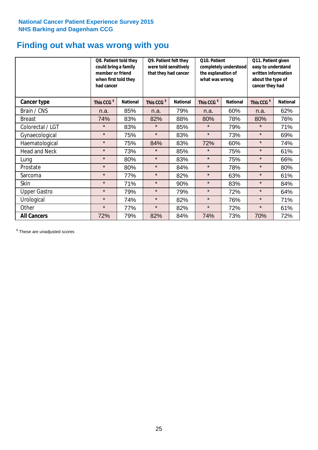## **Finding out what was wrong with you**

|                      | Q8. Patient told they<br>could bring a family<br>member or friend<br>when first told they<br>had cancer |                 | Q9. Patient felt they<br>were told sensitively<br>that they had cancer |                 |                        | Q10. Patient<br>completely understood<br>the explanation of<br>what was wrong |                        | Q11. Patient given<br>easy to understand<br>written information<br>about the type of<br>cancer they had |  |
|----------------------|---------------------------------------------------------------------------------------------------------|-----------------|------------------------------------------------------------------------|-----------------|------------------------|-------------------------------------------------------------------------------|------------------------|---------------------------------------------------------------------------------------------------------|--|
| Cancer type          | This CCG <sup>\$</sup>                                                                                  | <b>National</b> | This CCG <sup>\$</sup>                                                 | <b>National</b> | This CCG <sup>\$</sup> | <b>National</b>                                                               | This CCG <sup>\$</sup> | <b>National</b>                                                                                         |  |
| Brain / CNS          | n.a.                                                                                                    | 85%             | n.a.                                                                   | 79%             | n.a.                   | 60%                                                                           | n.a.                   | 62%                                                                                                     |  |
| <b>Breast</b>        | 74%                                                                                                     | 83%             | 82%                                                                    | 88%             | 80%                    | 78%                                                                           | 80%                    | 76%                                                                                                     |  |
| Colorectal / LGT     | $\star$                                                                                                 | 83%             | $\star$                                                                | 85%             | $\star$                | 79%                                                                           | $\star$                | 71%                                                                                                     |  |
| Gynaecological       | $\star$                                                                                                 | 75%             | $\star$                                                                | 83%             | $\star$                | 73%                                                                           | $\star$                | 69%                                                                                                     |  |
| Haematological       | $\star$                                                                                                 | 75%             | 84%                                                                    | 83%             | 72%                    | 60%                                                                           | $\star$                | 74%                                                                                                     |  |
| <b>Head and Neck</b> | $\star$                                                                                                 | 73%             | $\star$                                                                | 85%             | $\star$                | 75%                                                                           | $\star$                | 61%                                                                                                     |  |
| Lung                 | $\star$                                                                                                 | 80%             | $\star$                                                                | 83%             | $\star$                | 75%                                                                           | $\star$                | 66%                                                                                                     |  |
| Prostate             | $\star$                                                                                                 | 80%             | $\star$                                                                | 84%             | $\star$                | 78%                                                                           | $\star$                | 80%                                                                                                     |  |
| Sarcoma              | $\star$                                                                                                 | 77%             | $\star$                                                                | 82%             | $\star$                | 63%                                                                           | $\star$                | 61%                                                                                                     |  |
| Skin                 | $\star$                                                                                                 | 71%             | $\star$                                                                | 90%             | $\star$                | 83%                                                                           | $\star$                | 84%                                                                                                     |  |
| <b>Upper Gastro</b>  | $\star$                                                                                                 | 79%             | $\star$                                                                | 79%             | $\star$                | 72%                                                                           | $\star$                | 64%                                                                                                     |  |
| Urological           | $\star$                                                                                                 | 74%             | $\star$                                                                | 82%             | $\star$                | 76%                                                                           | $\star$                | 71%                                                                                                     |  |
| Other                | $\star$                                                                                                 | 77%             | $\star$                                                                | 82%             | $\star$                | 72%                                                                           | $\star$                | 61%                                                                                                     |  |
| <b>All Cancers</b>   | 72%                                                                                                     | 79%             | 82%                                                                    | 84%             | 74%                    | 73%                                                                           | 70%                    | 72%                                                                                                     |  |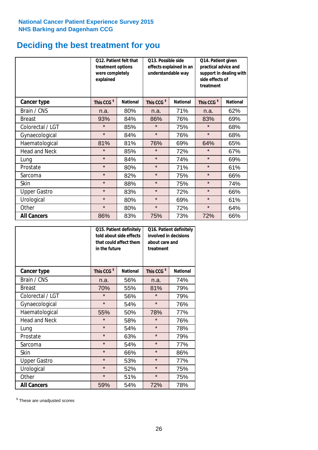### **Deciding the best treatment for you**

|                      | <b>O12. Patient felt that</b><br>treatment options<br>were completely<br>explained |                 | O13. Possible side<br>understandable way | effects explained in an | Q14. Patient given<br>practical advice and<br>support in dealing with<br>side effects of<br>treatment |                 |  |
|----------------------|------------------------------------------------------------------------------------|-----------------|------------------------------------------|-------------------------|-------------------------------------------------------------------------------------------------------|-----------------|--|
| <b>Cancer type</b>   | This CCG <sup>\$</sup>                                                             | <b>National</b> | This CCG <sup>\$</sup>                   | <b>National</b>         | This CCG <sup>\$</sup>                                                                                | <b>National</b> |  |
| Brain / CNS          | n.a.                                                                               | 80%             | n.a.                                     | 71%                     | n.a.                                                                                                  | 62%             |  |
| <b>Breast</b>        | 93%                                                                                | 84%             | 86%                                      | 76%                     | 83%                                                                                                   | 69%             |  |
| Colorectal / LGT     | $\star$                                                                            | 85%             | $\star$                                  | 75%                     | $\star$                                                                                               | 68%             |  |
| Gynaecological       | $\star$                                                                            | 84%             | $\star$                                  | 76%                     | $\star$                                                                                               | 68%             |  |
| Haematological       | 81%                                                                                | 81%             | 76%                                      | 69%                     | 64%                                                                                                   | 65%             |  |
| <b>Head and Neck</b> | $\star$                                                                            | 85%             | $\star$                                  | 72%                     | $\star$                                                                                               | 67%             |  |
| Lung                 | $\star$                                                                            | 84%             | $\star$                                  | 74%                     | $\star$                                                                                               | 69%             |  |
| Prostate             | $\star$                                                                            | 80%             | $\star$                                  | 71%                     | $\star$                                                                                               | 61%             |  |
| Sarcoma              | $\star$                                                                            | 82%             | $\star$                                  | 75%                     | $\star$                                                                                               | 66%             |  |
| Skin                 | $\star$                                                                            | 88%             | $\star$                                  | 75%                     | $\star$                                                                                               | 74%             |  |
| <b>Upper Gastro</b>  | $\star$                                                                            | 83%             | $\star$                                  | 72%                     | $\star$                                                                                               | 66%             |  |
| Urological           | $\star$                                                                            | 80%             | $\star$                                  | 69%                     | $\star$                                                                                               | 61%             |  |
| Other                | $\star$                                                                            | 80%             | $\star$                                  | 72%                     | $\star$                                                                                               | 64%             |  |
| <b>All Cancers</b>   | 86%                                                                                | 83%             | 75%                                      | 73%                     | 72%                                                                                                   | 66%             |  |

|                      | Q15. Patient definitely<br>told about side effects<br>that could affect them<br>in the future |                 |                        | Q16. Patient definitely<br>involved in decisions<br>about care and<br>treatment |  |  |
|----------------------|-----------------------------------------------------------------------------------------------|-----------------|------------------------|---------------------------------------------------------------------------------|--|--|
| <b>Cancer type</b>   | This CCG <sup>\$</sup>                                                                        | <b>National</b> | This CCG <sup>\$</sup> | <b>National</b>                                                                 |  |  |
| Brain / CNS          | n.a.                                                                                          | 56%             | n.a.                   | 74%                                                                             |  |  |
| <b>Breast</b>        | 70%                                                                                           | 55%             | 81%                    | 79%                                                                             |  |  |
| Colorectal / LGT     | $\star$                                                                                       | 56%             | $\star$                | 79%                                                                             |  |  |
| Gynaecological       | $\star$                                                                                       | 54%             |                        | 76%                                                                             |  |  |
| Haematological       | 50%<br>55%                                                                                    |                 | 78%                    | 77%                                                                             |  |  |
| <b>Head and Neck</b> | $\star$                                                                                       | 58%             | $\star$                | 76%                                                                             |  |  |
| Lung                 | $\star$                                                                                       | 54%             | $\star$                | 78%                                                                             |  |  |
| Prostate             | $\star$                                                                                       | 63%             | $\star$                | 79%                                                                             |  |  |
| Sarcoma              | $\star$                                                                                       | 54%             | $\star$                | 77%                                                                             |  |  |
| Skin                 | $\star$                                                                                       | 66%             | $\star$                | 86%                                                                             |  |  |
| <b>Upper Gastro</b>  | $\star$                                                                                       | 53%             | $\star$                | 77%                                                                             |  |  |
| Urological           | $\star$                                                                                       | 52%             | $\star$                | 75%                                                                             |  |  |
| Other                | $\star$                                                                                       | 51%             | $\star$                | 75%                                                                             |  |  |
| <b>All Cancers</b>   | 59%                                                                                           | 54%             | 72%                    | 78%                                                                             |  |  |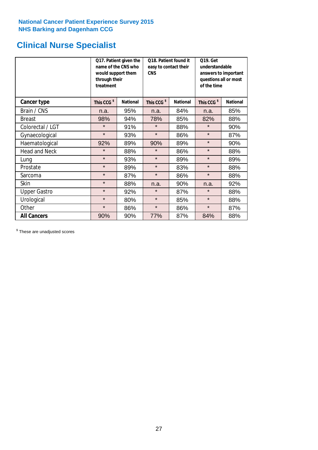## **Clinical Nurse Specialist**

|                      | would support them<br>through their<br>treatment | Q17. Patient given the<br>name of the CNS who | Q18. Patient found it<br>easy to contact their<br><b>CNS</b> |                 | <b>Q19. Get</b><br>understandable<br>answers to important<br>questions all or most<br>of the time |                 |  |
|----------------------|--------------------------------------------------|-----------------------------------------------|--------------------------------------------------------------|-----------------|---------------------------------------------------------------------------------------------------|-----------------|--|
| Cancer type          | This CCG <sup>\$</sup>                           | <b>National</b>                               | This CCG <sup>\$</sup>                                       | <b>National</b> | This CCG <sup>\$</sup>                                                                            | <b>National</b> |  |
| Brain / CNS          | n.a.                                             | 95%                                           | n.a.                                                         | 84%             | n.a.                                                                                              | 85%             |  |
| <b>Breast</b>        | 98%                                              | 94%                                           | 78%                                                          | 85%             | 82%                                                                                               | 88%             |  |
| Colorectal / LGT     | $\star$                                          | 91%                                           | $\star$                                                      | 88%             | $\star$                                                                                           | 90%             |  |
| Gynaecological       | $\star$                                          | 93%                                           | $\star$                                                      | 86%             | $\star$                                                                                           | 87%             |  |
| Haematological       | 92%                                              | 89%                                           | 90%                                                          | 89%             | $\star$                                                                                           | 90%             |  |
| <b>Head and Neck</b> | $\star$                                          | 88%                                           | $\star$                                                      | 86%             | $\star$                                                                                           | 88%             |  |
| Lung                 | $\star$                                          | 93%                                           | $\star$                                                      | 89%             | $\star$                                                                                           | 89%             |  |
| Prostate             | $\star$                                          | 89%                                           | $\star$                                                      | 83%             | $\star$                                                                                           | 88%             |  |
| Sarcoma              | $\star$                                          | 87%                                           | $\star$                                                      | 86%             | $\star$                                                                                           | 88%             |  |
| Skin                 | $\star$                                          | 88%                                           | n.a.                                                         | 90%             | n.a.                                                                                              | 92%             |  |
| <b>Upper Gastro</b>  | $\star$                                          | 92%                                           | $\star$                                                      | 87%             | $\star$                                                                                           | 88%             |  |
| Urological           | $\star$                                          | 80%                                           | $\star$                                                      | 85%             | $\star$                                                                                           | 88%             |  |
| Other                | $\star$                                          | 86%                                           | $\star$                                                      | 86%             | $\star$                                                                                           | 87%             |  |
| <b>All Cancers</b>   | 90%                                              | 90%                                           | 77%                                                          | 87%             | 84%                                                                                               | 88%             |  |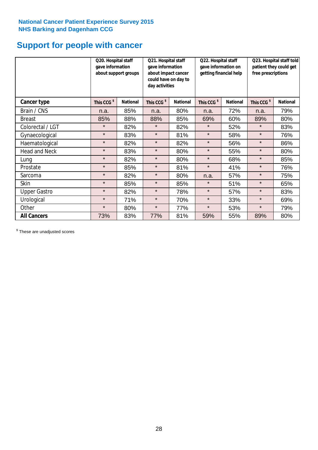## **Support for people with cancer**

|                      | Q20. Hospital staff<br>gave information | about support groups | Q21. Hospital staff<br>gave information<br>about impact cancer<br>could have on day to<br>day activities |                 | Q22. Hospital staff<br>gave information on<br>getting financial help |                 | Q23. Hospital staff told<br>patient they could get<br>free prescriptions |                 |
|----------------------|-----------------------------------------|----------------------|----------------------------------------------------------------------------------------------------------|-----------------|----------------------------------------------------------------------|-----------------|--------------------------------------------------------------------------|-----------------|
| Cancer type          | This CCG <sup>\$</sup>                  | <b>National</b>      | This CCG <sup>\$</sup>                                                                                   | <b>National</b> | This CCG <sup>\$</sup>                                               | <b>National</b> | This CCG <sup>\$</sup>                                                   | <b>National</b> |
| Brain / CNS          | n.a.                                    | 85%                  | n.a.                                                                                                     | 80%             | n.a.                                                                 | 72%             | n.a.                                                                     | 79%             |
| <b>Breast</b>        | 85%                                     | 88%                  | 88%                                                                                                      | 85%             | 69%                                                                  | 60%             | 89%                                                                      | 80%             |
| Colorectal / LGT     | $\star$                                 | 82%                  | $\star$                                                                                                  | 82%             | $\star$                                                              | 52%             | $\star$                                                                  | 83%             |
| Gynaecological       | $\star$                                 | 83%                  | $\star$                                                                                                  | 81%             | $\star$                                                              | 58%             | $\star$                                                                  | 76%             |
| Haematological       | $\star$                                 | 82%                  | $\star$                                                                                                  | 82%             | $\star$                                                              | 56%             | $\star$                                                                  | 86%             |
| <b>Head and Neck</b> | $\star$                                 | 83%                  | $\star$                                                                                                  | 80%             | $\star$                                                              | 55%             | $\star$                                                                  | 80%             |
| Lung                 | $\star$                                 | 82%                  | $\star$                                                                                                  | 80%             | $\star$                                                              | 68%             | $\star$                                                                  | 85%             |
| Prostate             | $\star$                                 | 85%                  | $\star$                                                                                                  | 81%             | $\star$                                                              | 41%             | $\star$                                                                  | 76%             |
| Sarcoma              | $\star$                                 | 82%                  | $\star$                                                                                                  | 80%             | n.a.                                                                 | 57%             | $\star$                                                                  | 75%             |
| Skin                 | $\star$                                 | 85%                  | $\star$                                                                                                  | 85%             | $\star$                                                              | 51%             | $\star$                                                                  | 65%             |
| <b>Upper Gastro</b>  | $\star$                                 | 82%                  | $\star$                                                                                                  | 78%             | $\star$                                                              | 57%             | $\star$                                                                  | 83%             |
| Urological           | $\star$                                 | 71%                  | $\star$                                                                                                  | 70%             | $\star$                                                              | 33%             | $\star$                                                                  | 69%             |
| Other                | $\star$                                 | 80%                  | $\star$                                                                                                  | 77%             | $\star$                                                              | 53%             | $\star$                                                                  | 79%             |
| <b>All Cancers</b>   | 73%                                     | 83%                  | 77%                                                                                                      | 81%             | 59%                                                                  | 55%             | 89%                                                                      | 80%             |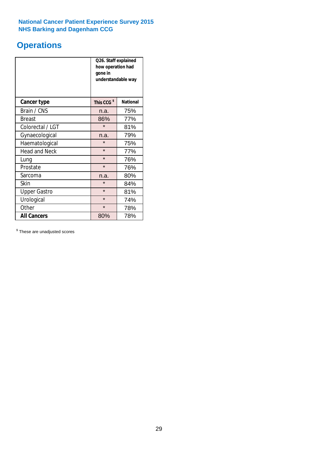## **Operations**

|                      | Q26. Staff explained<br>how operation had<br>gone in<br>understandable way |                 |  |  |
|----------------------|----------------------------------------------------------------------------|-----------------|--|--|
| <b>Cancer type</b>   | This CCG <sup>\$</sup>                                                     | <b>National</b> |  |  |
| Brain / CNS          | n.a.                                                                       | 75%             |  |  |
| <b>Breast</b>        | 86%                                                                        | 77%             |  |  |
| Colorectal / LGT     | $\star$                                                                    | 81%             |  |  |
| Gynaecological       | n.a.                                                                       | 79%             |  |  |
| Haematological       | $\star$<br>75%                                                             |                 |  |  |
| <b>Head and Neck</b> | $\star$                                                                    | 77%             |  |  |
| Lung                 | $\star$                                                                    | 76%             |  |  |
| Prostate             | $\star$                                                                    | 76%             |  |  |
| Sarcoma              | n.a.                                                                       | 80%             |  |  |
| Skin                 | $\star$                                                                    | 84%             |  |  |
| <b>Upper Gastro</b>  | $\star$                                                                    | 81%             |  |  |
| Urological           | $\star$<br>74%                                                             |                 |  |  |
| Other                | $\star$<br>78%                                                             |                 |  |  |
| <b>All Cancers</b>   | 78%<br>80%                                                                 |                 |  |  |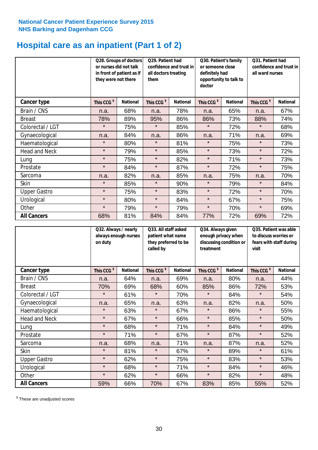## **Hospital care as an inpatient (Part 1 of 2)**

|                      | or nurses did not talk<br>they were not there | Q28. Groups of doctors<br>in front of patient as if | Q29. Patient had<br>confidence and trust in<br>all doctors treating<br>them |                 | Q30. Patient's family<br>or someone close<br>definitely had<br>opportunity to talk to<br>doctor |                 | Q31. Patient had<br>confidence and trust in  <br>all ward nurses |                 |
|----------------------|-----------------------------------------------|-----------------------------------------------------|-----------------------------------------------------------------------------|-----------------|-------------------------------------------------------------------------------------------------|-----------------|------------------------------------------------------------------|-----------------|
| Cancer type          | This CCG <sup>\$</sup>                        | <b>National</b>                                     | This CCG <sup>\$</sup>                                                      | <b>National</b> | This CCG <sup>\$</sup>                                                                          | <b>National</b> | This CCG <sup>\$</sup>                                           | <b>National</b> |
| Brain / CNS          | n.a.                                          | 68%                                                 | n.a.                                                                        | 78%             | n.a.                                                                                            | 65%             | n.a.                                                             | 67%             |
| <b>Breast</b>        | 78%                                           | 89%                                                 | 95%                                                                         | 86%             | 86%                                                                                             | 73%             | 88%                                                              | 74%             |
| Colorectal / LGT     | $\star$                                       | 75%                                                 | $\star$                                                                     | 85%             | $\star$                                                                                         | 72%             | $\star$                                                          | 68%             |
| Gynaecological       | n.a.                                          | 84%                                                 | n.a.                                                                        | 86%             | n.a.                                                                                            | 71%             | n.a.                                                             | 69%             |
| Haematological       | $\star$                                       | 80%                                                 | $\star$                                                                     | 81%             | $\star$                                                                                         | 75%             | $\star$                                                          | 73%             |
| <b>Head and Neck</b> | $\star$                                       | 79%                                                 | $\star$                                                                     | 85%             | $\star$                                                                                         | 73%             | $\star$                                                          | 72%             |
| Lung                 | $\star$                                       | 75%                                                 | $\star$                                                                     | 82%             | $\star$                                                                                         | 71%             | $\star$                                                          | 73%             |
| Prostate             | $\star$                                       | 84%                                                 | $\star$                                                                     | 87%             | $\star$                                                                                         | 72%             | $\star$                                                          | 75%             |
| Sarcoma              | n.a.                                          | 82%                                                 | n.a.                                                                        | 85%             | n.a.                                                                                            | 75%             | n.a.                                                             | 70%             |
| Skin                 | $\star$                                       | 85%                                                 | $\star$                                                                     | 90%             | $\star$                                                                                         | 79%             | $\star$                                                          | 84%             |
| <b>Upper Gastro</b>  | $\star$                                       | 75%                                                 | $\star$                                                                     | 83%             | $\star$                                                                                         | 72%             | $\star$                                                          | 70%             |
| Urological           | $\star$                                       | 80%                                                 | $\star$                                                                     | 84%             | $\star$                                                                                         | 67%             | $\star$                                                          | 75%             |
| Other                | $\star$                                       | 79%                                                 | $\star$                                                                     | 79%             | $\star$                                                                                         | 70%             | $\star$                                                          | 69%             |
| <b>All Cancers</b>   | 68%                                           | 81%                                                 | 84%                                                                         | 84%             | 77%                                                                                             | 72%             | 69%                                                              | 72%             |

|                      | Q32. Always / nearly<br>always enough nurses<br>on duty |                 | Q33. All staff asked<br>patient what name<br>they preferred to be<br>called by |                 | Q34. Always given<br>enough privacy when<br>discussing condition or<br>treatment |                 | Q35. Patient was able<br>to discuss worries or<br>fears with staff during<br>visit |                 |
|----------------------|---------------------------------------------------------|-----------------|--------------------------------------------------------------------------------|-----------------|----------------------------------------------------------------------------------|-----------------|------------------------------------------------------------------------------------|-----------------|
| <b>Cancer type</b>   | This CCG <sup>\$</sup>                                  | <b>National</b> | This CCG <sup>\$</sup>                                                         | <b>National</b> | This CCG <sup>\$</sup>                                                           | <b>National</b> | This CCG <sup>\$</sup>                                                             | <b>National</b> |
| Brain / CNS          | n.a.                                                    | 64%             | n.a.                                                                           | 69%             | n.a.                                                                             | 80%             | n.a.                                                                               | 44%             |
| <b>Breast</b>        | 70%                                                     | 69%             | 68%                                                                            | 60%             | 85%                                                                              | 86%             | 72%                                                                                | 53%             |
| Colorectal / LGT     | $\star$                                                 | 61%             | $\star$                                                                        | 70%             | $\star$                                                                          | 84%             | $\star$                                                                            | 54%             |
| Gynaecological       | n.a.                                                    | 65%             | n.a.                                                                           | 63%             | n.a.                                                                             | 82%             | n.a.                                                                               | 50%             |
| Haematological       | $\star$                                                 | 63%             | $\star$                                                                        | 67%             | $\star$                                                                          | 86%             | $\star$                                                                            | 55%             |
| <b>Head and Neck</b> | $\star$                                                 | 67%             | $\star$                                                                        | 66%             | $\star$                                                                          | 85%             | $\star$                                                                            | 50%             |
| Lung                 | $\star$                                                 | 68%             | $\star$                                                                        | 71%             | $\star$                                                                          | 84%             | $\star$                                                                            | 49%             |
| Prostate             | $\star$                                                 | 71%             | $\star$                                                                        | 67%             | $\star$                                                                          | 87%             | $\star$                                                                            | 52%             |
| Sarcoma              | n.a.                                                    | 68%             | n.a.                                                                           | 71%             | n.a.                                                                             | 87%             | n.a.                                                                               | 52%             |
| Skin                 | $\star$                                                 | 81%             | $\star$                                                                        | 67%             | $\star$                                                                          | 89%             | $\star$                                                                            | 61%             |
| <b>Upper Gastro</b>  | $\star$                                                 | 62%             | $\star$                                                                        | 75%             | $\star$                                                                          | 83%             | $\star$                                                                            | 53%             |
| Urological           | $\star$                                                 | 68%             | $\star$                                                                        | 71%             | $\star$                                                                          | 84%             | $\star$                                                                            | 46%             |
| Other                | $\star$                                                 | 62%             | $\star$                                                                        | 66%             | $\star$                                                                          | 82%             | $\star$                                                                            | 48%             |
| <b>All Cancers</b>   | 59%                                                     | 66%             | 70%                                                                            | 67%             | 83%                                                                              | 85%             | 55%                                                                                | 52%             |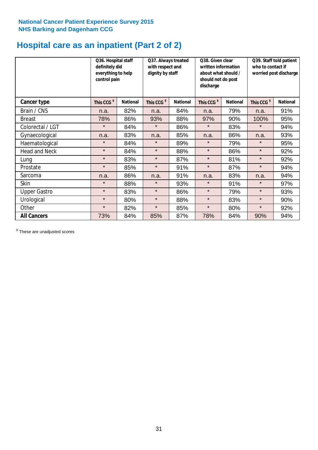## **Hospital care as an inpatient (Part 2 of 2)**

|                      | Q36. Hospital staff<br>definitely did<br>everything to help<br>control pain |                 | Q37. Always treated<br>with respect and<br>dignity by staff |                 | written information<br>about what should /<br>should not do post<br>discharge |                 | Q38. Given clear<br>Q39. Staff told patient<br>who to contact if<br>worried post discharge |                 |  |
|----------------------|-----------------------------------------------------------------------------|-----------------|-------------------------------------------------------------|-----------------|-------------------------------------------------------------------------------|-----------------|--------------------------------------------------------------------------------------------|-----------------|--|
| Cancer type          | This CCG <sup>\$</sup>                                                      | <b>National</b> | This CCG <sup>\$</sup>                                      | <b>National</b> | This CCG <sup>\$</sup>                                                        | <b>National</b> | This CCG <sup>\$</sup>                                                                     | <b>National</b> |  |
| Brain / CNS          | n.a.                                                                        | 82%             | n.a.                                                        | 84%             | n.a.                                                                          | 79%             | n.a.                                                                                       | 91%             |  |
| <b>Breast</b>        | 78%                                                                         | 86%             | 93%                                                         | 88%             | 97%                                                                           | 90%             | 100%                                                                                       | 95%             |  |
| Colorectal / LGT     | $\star$                                                                     | 84%             | $\star$                                                     | 86%             | $\star$                                                                       | 83%             | $\star$                                                                                    | 94%             |  |
| Gynaecological       | n.a.                                                                        | 83%             | n.a.                                                        | 85%             | n.a.                                                                          | 86%             | n.a.                                                                                       | 93%             |  |
| Haematological       | $\star$                                                                     | 84%             | $\star$                                                     | 89%             | $\star$                                                                       | 79%             | $\star$                                                                                    | 95%             |  |
| <b>Head and Neck</b> | $\star$                                                                     | 84%             | $\star$                                                     | 88%             | $\star$                                                                       | 86%             | $\star$                                                                                    | 92%             |  |
| Lung                 | $\star$                                                                     | 83%             | $\star$                                                     | 87%             | $\star$                                                                       | 81%             | $\star$                                                                                    | 92%             |  |
| Prostate             | $\star$                                                                     | 85%             | $\star$                                                     | 91%             | $\star$                                                                       | 87%             | $\star$                                                                                    | 94%             |  |
| Sarcoma              | n.a.                                                                        | 86%             | n.a.                                                        | 91%             | n.a.                                                                          | 83%             | n.a.                                                                                       | 94%             |  |
| Skin                 | $\star$                                                                     | 88%             | $\star$                                                     | 93%             | $\star$                                                                       | 91%             | $\star$                                                                                    | 97%             |  |
| <b>Upper Gastro</b>  | $\star$                                                                     | 83%             | $\star$                                                     | 86%             | $\star$                                                                       | 79%             | $\star$                                                                                    | 93%             |  |
| Urological           | $\star$                                                                     | 80%             | $\star$                                                     | 88%             | $\star$                                                                       | 83%             | $\star$                                                                                    | 90%             |  |
| Other                | $\star$                                                                     | 82%             | $\star$                                                     | 85%             | $\star$                                                                       | 80%             | $\star$                                                                                    | 92%             |  |
| <b>All Cancers</b>   | 73%                                                                         | 84%             | 85%                                                         | 87%             | 78%                                                                           | 84%             | 90%                                                                                        | 94%             |  |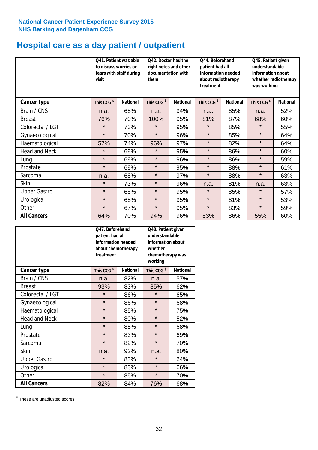## **Hospital care as a day patient / outpatient**

|                      | to discuss worries or<br>visit | Q41. Patient was able<br>fears with staff during | Q42. Doctor had the<br>right notes and other<br>documentation with<br>them |                 | Q44. Beforehand<br>Q45. Patient given<br>patient had all<br>understandable<br>information needed<br>information about<br>about radiotherapy<br>whether radiotherapy<br>treatment<br>was working |                 |                        |                 |  |
|----------------------|--------------------------------|--------------------------------------------------|----------------------------------------------------------------------------|-----------------|-------------------------------------------------------------------------------------------------------------------------------------------------------------------------------------------------|-----------------|------------------------|-----------------|--|
| Cancer type          | This CCG <sup>\$</sup>         | <b>National</b>                                  | This CCG <sup>\$</sup>                                                     | <b>National</b> | This CCG <sup>\$</sup>                                                                                                                                                                          | <b>National</b> | This CCG <sup>\$</sup> | <b>National</b> |  |
| Brain / CNS          | n.a.                           | 65%                                              | n.a.                                                                       | 94%             | n.a.                                                                                                                                                                                            | 85%             | n.a.                   | 52%             |  |
| <b>Breast</b>        | 76%                            | 70%                                              | 100%                                                                       | 95%             | 81%                                                                                                                                                                                             | 87%             | 68%                    | 60%             |  |
| Colorectal / LGT     | $\star$                        | 73%                                              | $\star$                                                                    | 95%             | $\star$                                                                                                                                                                                         | 85%             | $\star$                | 55%             |  |
| Gynaecological       | $\star$                        | 70%                                              | $\star$                                                                    | 96%             | $\star$                                                                                                                                                                                         | 85%             | $\star$                | 64%             |  |
| Haematological       | 57%                            | 74%                                              | 96%                                                                        | 97%             | $\star$                                                                                                                                                                                         | 82%             | $\star$                | 64%             |  |
| <b>Head and Neck</b> | $\star$                        | 69%                                              | $\star$                                                                    | 95%             | $\star$                                                                                                                                                                                         | 86%             | $\star$                | 60%             |  |
| Lung                 | $\star$                        | 69%                                              | $\star$                                                                    | 96%             | $\star$                                                                                                                                                                                         | 86%             | $\star$                | 59%             |  |
| Prostate             | $\star$                        | 69%                                              | $\star$                                                                    | 95%             | $\star$                                                                                                                                                                                         | 88%             | $\star$                | 61%             |  |
| Sarcoma              | n.a.                           | 68%                                              | $\star$                                                                    | 97%             | $\star$                                                                                                                                                                                         | 88%             | $\star$                | 63%             |  |
| Skin                 | $\star$                        | 73%                                              | $\star$                                                                    | 96%             | n.a.                                                                                                                                                                                            | 81%             | n.a.                   | 63%             |  |
| <b>Upper Gastro</b>  | $\star$                        | 68%                                              | $\star$                                                                    | 95%             | $\star$                                                                                                                                                                                         | 85%             | $\star$                | 57%             |  |
| Urological           | $\star$                        | 65%                                              | $\star$                                                                    | 95%             | $\star$                                                                                                                                                                                         | 81%             | $\star$                | 53%             |  |
| Other                | $\star$                        | 67%                                              | $\star$                                                                    | 95%             | $\star$                                                                                                                                                                                         | 83%             | $\star$                | 59%             |  |
| <b>All Cancers</b>   | 64%                            | 70%                                              | 94%                                                                        | 96%             | 83%                                                                                                                                                                                             | 86%             | 55%                    | 60%             |  |

|                      | O47. Beforehand<br>patient had all<br>information needed<br>about chemotherapy<br>treatment |                 | Q48. Patient given<br>understandable<br>information about<br>whether<br>chemotherapy was<br>working |                 |
|----------------------|---------------------------------------------------------------------------------------------|-----------------|-----------------------------------------------------------------------------------------------------|-----------------|
| <b>Cancer type</b>   | This CCG <sup>\$</sup>                                                                      | <b>National</b> | This CCG <sup>\$</sup>                                                                              | <b>National</b> |
| Brain / CNS          | n.a.                                                                                        | 82%             | n.a.                                                                                                | 57%             |
| <b>Breast</b>        | 93%                                                                                         | 83%             | 85%                                                                                                 | 62%             |
| Colorectal / LGT     | $\star$                                                                                     | 86%             | $\star$                                                                                             | 65%             |
| Gynaecological       | $\star$                                                                                     | 86%             | $\star$                                                                                             | 68%             |
| Haematological       | $\star$                                                                                     | 85%             | $\star$                                                                                             | 75%             |
| <b>Head and Neck</b> | $\star$                                                                                     | 80%             | $\star$                                                                                             | 52%             |
| Lung                 | $\star$                                                                                     | 85%             | $\star$                                                                                             | 68%             |
| Prostate             | $\star$                                                                                     | 83%             | $\star$                                                                                             | 69%             |
| Sarcoma              | $\star$                                                                                     | 82%             | $\star$                                                                                             | 70%             |
| Skin                 | n.a.                                                                                        | 92%             | n.a.                                                                                                | 80%             |
| <b>Upper Gastro</b>  | $\star$                                                                                     | 83%             | $\star$                                                                                             | 64%             |
| Urological           | $\star$                                                                                     | 83%             | $\star$                                                                                             | 66%             |
| Other                | $\star$                                                                                     | 85%             | $\star$                                                                                             | 70%             |
| <b>All Cancers</b>   | 82%                                                                                         | 84%             | 76%                                                                                                 | 68%             |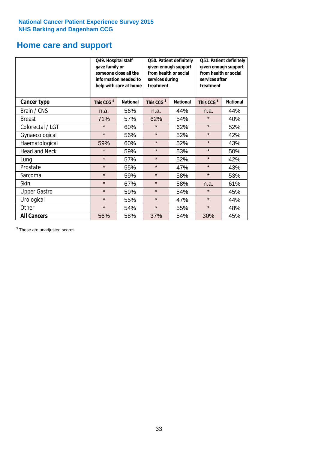### **Home care and support**

|                      | Q49. Hospital staff<br>gave family or<br>someone close all the<br>information needed to<br>help with care at home |                 | from health or social<br>services during<br>treatment | Q50. Patient definitely<br>given enough support | Q51. Patient definitely<br>given enough support<br>from health or social<br>services after<br>treatment |                 |  |
|----------------------|-------------------------------------------------------------------------------------------------------------------|-----------------|-------------------------------------------------------|-------------------------------------------------|---------------------------------------------------------------------------------------------------------|-----------------|--|
| <b>Cancer type</b>   | This CCG <sup>\$</sup>                                                                                            | <b>National</b> | This CCG <sup>\$</sup>                                | <b>National</b>                                 | This CCG <sup>\$</sup>                                                                                  | <b>National</b> |  |
| Brain / CNS          | n.a.                                                                                                              | 56%             | n.a.                                                  | 44%                                             | n.a.                                                                                                    | 44%             |  |
| <b>Breast</b>        | 71%                                                                                                               | 57%             | 62%                                                   | 54%                                             | $\star$                                                                                                 | 40%             |  |
| Colorectal / LGT     | $\star$                                                                                                           | 60%             | $\star$                                               | 62%                                             | $\star$                                                                                                 | 52%             |  |
| Gynaecological       | $\star$                                                                                                           | 56%             | $\star$                                               | 52%                                             | $\star$                                                                                                 | 42%             |  |
| Haematological       | 59%                                                                                                               | 60%             | $\star$                                               | 52%                                             | $\star$                                                                                                 | 43%             |  |
| <b>Head and Neck</b> | $\star$                                                                                                           | 59%             | $\star$                                               | 53%                                             | $\star$                                                                                                 | 50%             |  |
| Lung                 | $\star$                                                                                                           | 57%             | $\star$                                               | 52%                                             | $\star$                                                                                                 | 42%             |  |
| Prostate             | $\star$                                                                                                           | 55%             | $\star$                                               | 47%                                             | $\star$                                                                                                 | 43%             |  |
| Sarcoma              | $\star$                                                                                                           | 59%             | $\star$                                               | 58%                                             | $\star$                                                                                                 | 53%             |  |
| Skin                 | $\star$                                                                                                           | 67%             | $\star$                                               | 58%                                             | n.a.                                                                                                    | 61%             |  |
| <b>Upper Gastro</b>  | $\star$                                                                                                           | 59%             | $\star$                                               | 54%                                             | $\star$                                                                                                 | 45%             |  |
| Urological           | $\star$                                                                                                           | 55%             | $\star$                                               | 47%                                             | $\star$                                                                                                 | 44%             |  |
| Other                | $\star$                                                                                                           | 54%             | $\star$<br>55%                                        |                                                 | $\star$                                                                                                 | 48%             |  |
| <b>All Cancers</b>   | 56%                                                                                                               | 58%             | 37%                                                   | 54%                                             | 30%                                                                                                     | 45%             |  |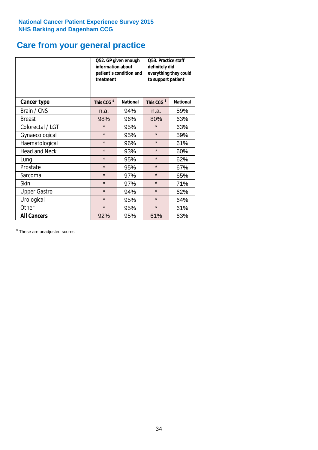## **Care from your general practice**

|                      | information about<br>treatment | Q52. GP given enough<br>patient's condition and | O53. Practice staff<br>definitely did<br>everything they could<br>to support patient |                 |  |
|----------------------|--------------------------------|-------------------------------------------------|--------------------------------------------------------------------------------------|-----------------|--|
| <b>Cancer type</b>   | This CCG <sup>\$</sup>         | <b>National</b>                                 | This CCG <sup>\$</sup>                                                               | <b>National</b> |  |
| Brain / CNS          | n.a.                           | 94%                                             | n.a.                                                                                 | 59%             |  |
| <b>Breast</b>        | 98%                            | 96%                                             | 80%                                                                                  | 63%             |  |
| Colorectal / LGT     | $\star$                        | 95%                                             | $\star$                                                                              | 63%             |  |
| Gynaecological       | $\star$                        | 95%                                             | $\star$                                                                              | 59%             |  |
| Haematological       | $\star$                        | 96%                                             | $\star$                                                                              | 61%             |  |
| <b>Head and Neck</b> | $\star$                        | 93%                                             | $\star$                                                                              | 60%             |  |
| Lung                 | $\star$                        | 95%                                             | $\star$                                                                              | 62%             |  |
| Prostate             | $\star$                        | 95%                                             | $\star$                                                                              | 67%             |  |
| Sarcoma              | $\star$                        | 97%                                             | $\star$                                                                              | 65%             |  |
| Skin                 | $\star$                        | 97%                                             | $\star$                                                                              | 71%             |  |
| <b>Upper Gastro</b>  | $\star$                        | 94%                                             | $\star$                                                                              | 62%             |  |
| Urological           | $\star$                        | 95%                                             | $\star$                                                                              | 64%             |  |
| Other                | $\star$                        | 95%                                             | $\star$                                                                              | 61%             |  |
| <b>All Cancers</b>   | 92%                            | 95%                                             | 61%                                                                                  | 63%             |  |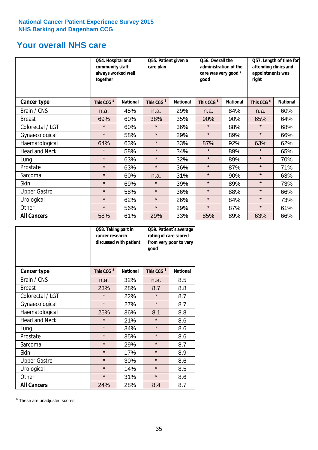## **Your overall NHS care**

|                      | Q54. Hospital and<br>community staff<br>always worked well<br>together |                 | Q55. Patient given a<br>care plan |                 | Q56. Overall the<br>administration of the<br>care was very good /<br>qood |                 | Q57. Length of time for<br>attending clinics and<br>appointments was<br>right |                 |
|----------------------|------------------------------------------------------------------------|-----------------|-----------------------------------|-----------------|---------------------------------------------------------------------------|-----------------|-------------------------------------------------------------------------------|-----------------|
| <b>Cancer type</b>   | This CCG <sup>\$</sup>                                                 | <b>National</b> | This CCG <sup>\$</sup>            | <b>National</b> | This CCG <sup>\$</sup>                                                    | <b>National</b> | This CCG <sup>\$</sup>                                                        | <b>National</b> |
| Brain / CNS          | n.a.                                                                   | 45%             | n.a.                              | 29%             | n.a.                                                                      | 84%             | n.a.                                                                          | 60%             |
| <b>Breast</b>        | 69%                                                                    | 60%             | 38%                               | 35%             | 90%                                                                       | 90%             | 65%                                                                           | 64%             |
| Colorectal / LGT     | $\star$                                                                | 60%             | $\star$                           | 36%             | $\star$                                                                   | 88%             | $\star$                                                                       | 68%             |
| Gynaecological       | $\star$                                                                | 58%             | $\star$                           | 29%             | $\star$                                                                   | 89%             | $\star$                                                                       | 66%             |
| Haematological       | 64%                                                                    | 63%             | $\star$                           | 33%             | 87%                                                                       | 92%             | 63%                                                                           | 62%             |
| <b>Head and Neck</b> | $\star$                                                                | 58%             | $\star$                           | 34%             | $\star$                                                                   | 89%             | $\star$                                                                       | 65%             |
| Lung                 | $\star$                                                                | 63%             | $\star$                           | 32%             | $\star$                                                                   | 89%             | $\star$                                                                       | 70%             |
| Prostate             | $\star$                                                                | 63%             | $\star$                           | 36%             | $\star$                                                                   | 87%             | $\star$                                                                       | 71%             |
| Sarcoma              | $\star$                                                                | 60%             | n.a.                              | 31%             | $\star$                                                                   | 90%             | $\star$                                                                       | 63%             |
| Skin                 | $\star$                                                                | 69%             | $\star$                           | 39%             | $\star$                                                                   | 89%             | $\star$                                                                       | 73%             |
| <b>Upper Gastro</b>  | $\star$                                                                | 58%             | $\star$                           | 36%             | $\star$                                                                   | 88%             | $\star$                                                                       | 66%             |
| Urological           | $\star$                                                                | 62%             | $\star$                           | 26%             | $\star$                                                                   | 84%             | $\star$                                                                       | 73%             |
| Other                | $\star$                                                                | 56%             | $\star$                           | 29%             | $\star$                                                                   | 87%             | $\star$                                                                       | 61%             |
| <b>All Cancers</b>   | 58%                                                                    | 61%             | 29%                               | 33%             | 85%                                                                       | 89%             | 63%                                                                           | 66%             |

|                      | Q58. Taking part in<br>cancer research | discussed with patient | Q59. Patient's average<br>rating of care scored<br>from very poor to very<br>good |                 |  |
|----------------------|----------------------------------------|------------------------|-----------------------------------------------------------------------------------|-----------------|--|
| <b>Cancer type</b>   | This CCG <sup>\$</sup>                 | <b>National</b>        | This CCG <sup>\$</sup>                                                            | <b>National</b> |  |
| Brain / CNS          | n.a.                                   | 32%                    | n.a.                                                                              | 8.5             |  |
| <b>Breast</b>        | 23%                                    | 28%                    | 8.7                                                                               | 8.8             |  |
| Colorectal / LGT     | $\star$                                | 22%                    | $\star$                                                                           | 8.7             |  |
| Gynaecological       | $\star$                                | 27%                    | $\star$                                                                           | 8.7             |  |
| Haematological       | 25%                                    | 36%                    | 8.1                                                                               | 8.8             |  |
| <b>Head and Neck</b> | $\star$                                | 21%                    | $\star$                                                                           | 8.6             |  |
| Lung                 | $\star$                                | 34%                    | $\star$                                                                           | 8.6             |  |
| Prostate             | $\star$                                | 35%                    | $\star$                                                                           | 8.6             |  |
| Sarcoma              | $\star$                                | 29%                    | $\star$                                                                           | 8.7             |  |
| <b>Skin</b>          | $\star$                                | 17%                    | $\star$                                                                           | 8.9             |  |
| <b>Upper Gastro</b>  | $\star$                                | 30%                    | $\star$                                                                           | 8.6             |  |
| Urological           | $\star$                                | 14%                    | $\star$                                                                           | 8.5             |  |
| Other                | $\star$                                | 31%                    | $\star$                                                                           | 8.6             |  |
| <b>All Cancers</b>   | 24%                                    | 28%                    | 8.4                                                                               | 8.7             |  |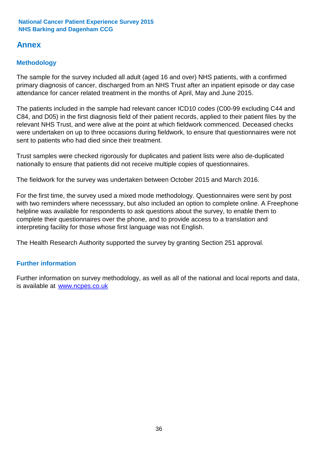### **Annex**

#### **Methodology**

The sample for the survey included all adult (aged 16 and over) NHS patients, with a confirmed primary diagnosis of cancer, discharged from an NHS Trust after an inpatient episode or day case attendance for cancer related treatment in the months of April, May and June 2015.

The patients included in the sample had relevant cancer ICD10 codes (C00-99 excluding C44 and C84, and D05) in the first diagnosis field of their patient records, applied to their patient files by the relevant NHS Trust, and were alive at the point at which fieldwork commenced. Deceased checks were undertaken on up to three occasions during fieldwork, to ensure that questionnaires were not sent to patients who had died since their treatment.

Trust samples were checked rigorously for duplicates and patient lists were also de-duplicated nationally to ensure that patients did not receive multiple copies of questionnaires.

The fieldwork for the survey was undertaken between October 2015 and March 2016.

For the first time, the survey used a mixed mode methodology. Questionnaires were sent by post with two reminders where necesssary, but also included an option to complete online. A Freephone helpline was available for respondents to ask questions about the survey, to enable them to complete their questionnaires over the phone, and to provide access to a translation and interpreting facility for those whose first language was not English.

The Health Research Authority supported the survey by granting Section 251 approval.

#### **Further information**

Further information on survey methodology, as well as all of the national and local reports and data, is available at www.ncpes.co.uk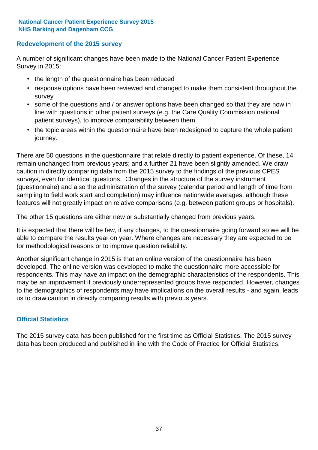#### **Redevelopment of the 2015 survey**

A number of significant changes have been made to the National Cancer Patient Experience Survey in 2015:

- the length of the questionnaire has been reduced
- response options have been reviewed and changed to make them consistent throughout the survey
- some of the questions and / or answer options have been changed so that they are now in line with questions in other patient surveys (e.g. the Care Quality Commission national patient surveys), to improve comparability between them
- the topic areas within the questionnaire have been redesigned to capture the whole patient journey.

There are 50 questions in the questionnaire that relate directly to patient experience. Of these, 14 remain unchanged from previous years; and a further 21 have been slightly amended. We draw caution in directly comparing data from the 2015 survey to the findings of the previous CPES surveys, even for identical questions. Changes in the structure of the survey instrument (questionnaire) and also the administration of the survey (calendar period and length of time from sampling to field work start and completion) may influence nationwide averages, although these features will not greatly impact on relative comparisons (e.g. between patient groups or hospitals).

The other 15 questions are either new or substantially changed from previous years.

It is expected that there will be few, if any changes, to the questionnaire going forward so we will be able to compare the results year on year. Where changes are necessary they are expected to be for methodological reasons or to improve question reliability.

Another significant change in 2015 is that an online version of the questionnaire has been developed. The online version was developed to make the questionnaire more accessible for respondents. This may have an impact on the demographic characteristics of the respondents. This may be an improvement if previously underrepresented groups have responded. However, changes to the demographics of respondents may have implications on the overall results - and again, leads us to draw caution in directly comparing results with previous years.

#### **Official Statistics**

The 2015 survey data has been published for the first time as Official Statistics. The 2015 survey data has been produced and published in line with the Code of Practice for Official Statistics.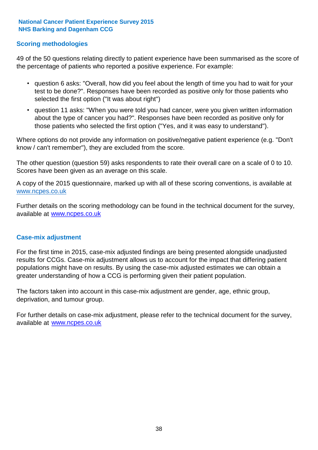#### **Scoring methodologies**

49 of the 50 questions relating directly to patient experience have been summarised as the score of the percentage of patients who reported a positive experience. For example:

- question 6 asks: "Overall, how did you feel about the length of time you had to wait for your test to be done?". Responses have been recorded as positive only for those patients who selected the first option ("It was about right")
- question 11 asks: "When you were told you had cancer, were you given written information about the type of cancer you had?". Responses have been recorded as positive only for those patients who selected the first option ("Yes, and it was easy to understand").

Where options do not provide any information on positive/negative patient experience (e.g. "Don't know / can't remember"), they are excluded from the score.

The other question (question 59) asks respondents to rate their overall care on a scale of 0 to 10. Scores have been given as an average on this scale.

A copy of the 2015 questionnaire, marked up with all of these scoring conventions, is available at www.ncpes.co.uk

Further details on the scoring methodology can be found in the technical document for the survey, available at <u>www.ncpes.co.uk</u>

#### **Case-mix adjustment**

For the first time in 2015, case-mix adjusted findings are being presented alongside unadjusted results for CCGs. Case-mix adjustment allows us to account for the impact that differing patient populations might have on results. By using the case-mix adjusted estimates we can obtain a greater understanding of how a CCG is performing given their patient population.

The factors taken into account in this case-mix adjustment are gender, age, ethnic group, deprivation, and tumour group.

For further details on case-mix adjustment, please refer to the technical document for the survey, available at www.ncpes.co.uk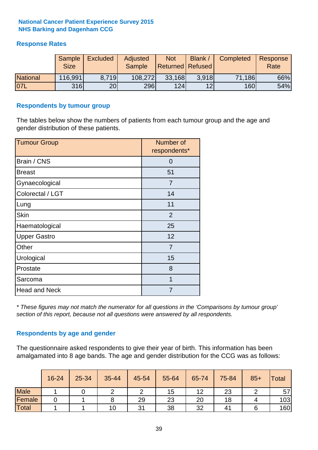#### **Response Rates**

|                 | Sample<br><b>Size</b> | <b>Excluded</b> | Adjusted<br><b>Sample</b> | <b>Not</b><br><b>Returned Refused</b> | Blank / | Completed | Response<br>Rate |
|-----------------|-----------------------|-----------------|---------------------------|---------------------------------------|---------|-----------|------------------|
| <b>National</b> | 116,991               | 8.719           | 108,272                   | 33,168                                | 3.918   | 71,186    | 66%              |
| <b>07L</b>      | 316                   | 20 <sub>l</sub> | 296                       | 124                                   | 12      | 160       | 54%              |

#### **Respondents by tumour group**

The tables below show the numbers of patients from each tumour group and the age and gender distribution of these patients.

| <b>Tumour Group</b>  | Number of<br>respondents* |
|----------------------|---------------------------|
| Brain / CNS          | 0                         |
| <b>Breast</b>        | 51                        |
| Gynaecological       | 7                         |
| Colorectal / LGT     | 14                        |
| Lung                 | 11                        |
| <b>Skin</b>          | 2                         |
| Haematological       | 25                        |
| <b>Upper Gastro</b>  | 12                        |
| Other                | 7                         |
| Urological           | 15                        |
| Prostate             | 8                         |
| Sarcoma              | 1                         |
| <b>Head and Neck</b> | 7                         |

*\* These figures may not match the numerator for all questions in the 'Comparisons by tumour group' section of this report, because not all questions were answered by all respondents.*

#### **Respondents by age and gender**

The questionnaire asked respondents to give their year of birth. This information has been amalgamated into 8 age bands. The age and gender distribution for the CCG was as follows:

|             | 16-24 | 25-34 | 35-44 | 45-54 | 55-64 | 65-74 | 75-84 | $85+$ | <b>Total</b> |
|-------------|-------|-------|-------|-------|-------|-------|-------|-------|--------------|
| <b>Male</b> |       |       |       |       | 15    | 12    | 23    |       | 57           |
| Female      |       |       |       | 29    | 23    | 20    | 18    |       | 103          |
| Total       |       |       | 10    | 31    | 38    | 32    | 41    |       | 160          |